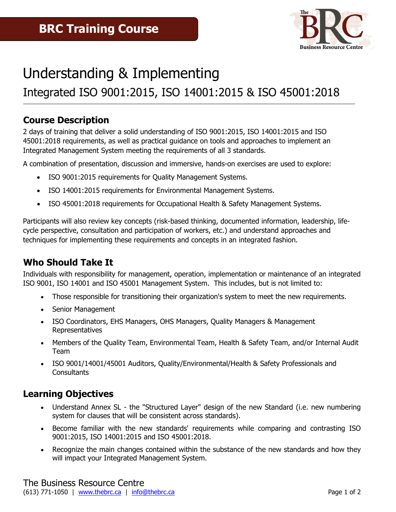

# Understanding & Implementing

# Integrated ISO 9001:2015, ISO 14001:2015 & ISO 45001:2018

### **Course Description**

2 days of training that deliver a solid understanding of ISO 9001:2015, ISO 14001:2015 and ISO 45001:2018 requirements, as well as practical guidance on tools and approaches to implement an Integrated Management System meeting the requirements of all 3 standards.

A combination of presentation, discussion and immersive, hands-on exercises are used to explore:

- ISO 9001:2015 requirements for Quality Management Systems.
- ISO 14001:2015 requirements for Environmental Management Systems.
- ISO 45001:2018 requirements for Occupational Health & Safety Management Systems.

Participants will also review key concepts (risk-based thinking, documented information, leadership, lifecycle perspective, consultation and participation of workers, etc.) and understand approaches and techniques for implementing these requirements and concepts in an integrated fashion.

# **Who Should Take It**

Individuals with responsibility for management, operation, implementation or maintenance of an integrated ISO 9001, ISO 14001 and ISO 45001 Management System. This includes, but is not limited to:

- Those responsible for transitioning their organization's system to meet the new requirements.
- Senior Management
- ISO Coordinators, EHS Managers, OHS Managers, Quality Managers & Management Representatives
- Members of the Quality Team, Environmental Team, Health & Safety Team, and/or Internal Audit Team
- ISO 9001/14001/45001 Auditors, Quality/Environmental/Health & Safety Professionals and **Consultants**

# **Learning Objectives**

- Understand Annex SL the "Structured Layer" design of the new Standard (i.e. new numbering system for clauses that will be consistent across standards).
- Become familiar with the new standards' requirements while comparing and contrasting ISO 9001:2015, ISO 14001:2015 and ISO 45001:2018.
- Recognize the main changes contained within the substance of the new standards and how they will impact your Integrated Management System.